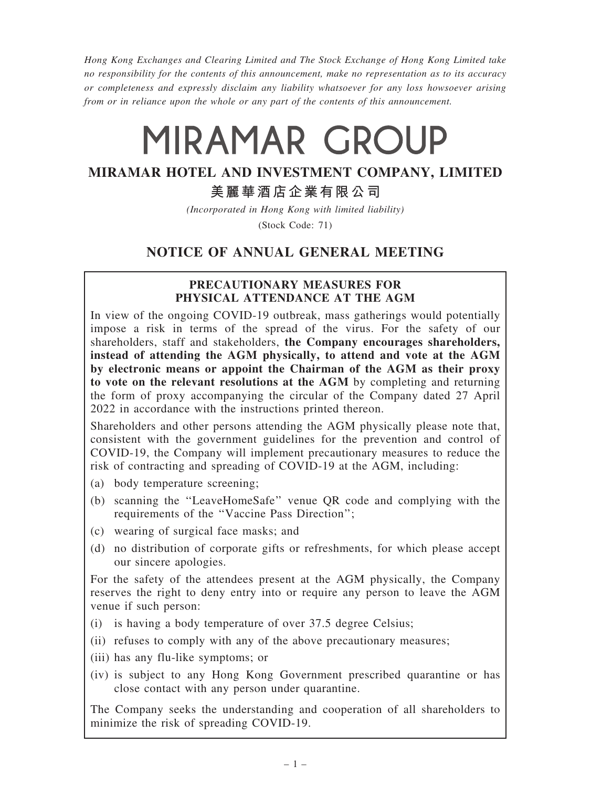Hong Kong Exchanges and Clearing Limited and The Stock Exchange of Hong Kong Limited take no responsibility for the contents of this announcement, make no representation as to its accuracy or completeness and expressly disclaim any liability whatsoever for any loss howsoever arising from or in reliance upon the whole or any part of the contents of this announcement.

# MIRAMAR GROUP

## MIRAMAR HOTEL AND INVESTMENT COMPANY, LIMITED

### 美麗華酒店企業有限公司

(Incorporated in Hong Kong with limited liability)

(Stock Code: 71)

## NOTICE OF ANNUAL GENERAL MEETING

#### PRECAUTIONARY MEASURES FOR PHYSICAL ATTENDANCE AT THE AGM

In view of the ongoing COVID-19 outbreak, mass gatherings would potentially impose a risk in terms of the spread of the virus. For the safety of our shareholders, staff and stakeholders, the Company encourages shareholders, instead of attending the AGM physically, to attend and vote at the AGM by electronic means or appoint the Chairman of the AGM as their proxy to vote on the relevant resolutions at the AGM by completing and returning the form of proxy accompanying the circular of the Company dated 27 April 2022 in accordance with the instructions printed thereon.

Shareholders and other persons attending the AGM physically please note that, consistent with the government guidelines for the prevention and control of COVID-19, the Company will implement precautionary measures to reduce the risk of contracting and spreading of COVID-19 at the AGM, including:

- (a) body temperature screening;
- (b) scanning the ''LeaveHomeSafe'' venue QR code and complying with the requirements of the ''Vaccine Pass Direction'';
- (c) wearing of surgical face masks; and
- (d) no distribution of corporate gifts or refreshments, for which please accept our sincere apologies.

For the safety of the attendees present at the AGM physically, the Company reserves the right to deny entry into or require any person to leave the AGM venue if such person:

- (i) is having a body temperature of over 37.5 degree Celsius;
- (ii) refuses to comply with any of the above precautionary measures;
- (iii) has any flu-like symptoms; or
- (iv) is subject to any Hong Kong Government prescribed quarantine or has close contact with any person under quarantine.

The Company seeks the understanding and cooperation of all shareholders to minimize the risk of spreading COVID-19.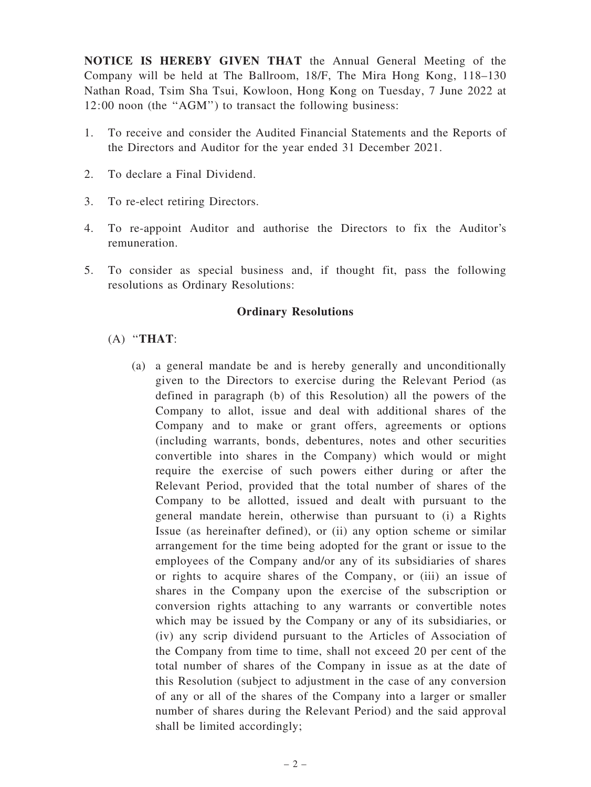NOTICE IS HEREBY GIVEN THAT the Annual General Meeting of the Company will be held at The Ballroom, 18/F, The Mira Hong Kong, 118–130 Nathan Road, Tsim Sha Tsui, Kowloon, Hong Kong on Tuesday, 7 June 2022 at 12:00 noon (the ''AGM'') to transact the following business:

- 1. To receive and consider the Audited Financial Statements and the Reports of the Directors and Auditor for the year ended 31 December 2021.
- 2. To declare a Final Dividend.
- 3. To re-elect retiring Directors.
- 4. To re-appoint Auditor and authorise the Directors to fix the Auditor's remuneration.
- 5. To consider as special business and, if thought fit, pass the following resolutions as Ordinary Resolutions:

#### Ordinary Resolutions

#### $(A)$  "THAT:

(a) a general mandate be and is hereby generally and unconditionally given to the Directors to exercise during the Relevant Period (as defined in paragraph (b) of this Resolution) all the powers of the Company to allot, issue and deal with additional shares of the Company and to make or grant offers, agreements or options (including warrants, bonds, debentures, notes and other securities convertible into shares in the Company) which would or might require the exercise of such powers either during or after the Relevant Period, provided that the total number of shares of the Company to be allotted, issued and dealt with pursuant to the general mandate herein, otherwise than pursuant to (i) a Rights Issue (as hereinafter defined), or (ii) any option scheme or similar arrangement for the time being adopted for the grant or issue to the employees of the Company and/or any of its subsidiaries of shares or rights to acquire shares of the Company, or (iii) an issue of shares in the Company upon the exercise of the subscription or conversion rights attaching to any warrants or convertible notes which may be issued by the Company or any of its subsidiaries, or (iv) any scrip dividend pursuant to the Articles of Association of the Company from time to time, shall not exceed 20 per cent of the total number of shares of the Company in issue as at the date of this Resolution (subject to adjustment in the case of any conversion of any or all of the shares of the Company into a larger or smaller number of shares during the Relevant Period) and the said approval shall be limited accordingly;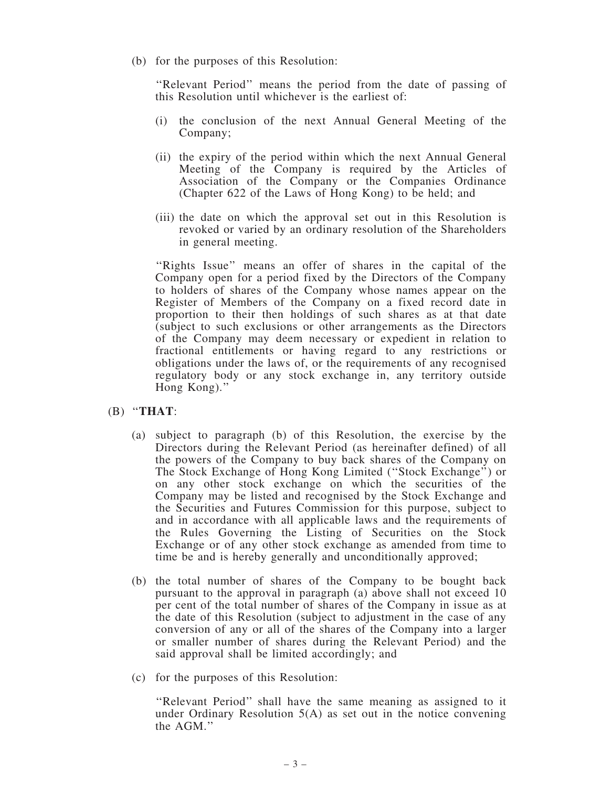(b) for the purposes of this Resolution:

"Relevant Period" means the period from the date of passing of this Resolution until whichever is the earliest of:

- (i) the conclusion of the next Annual General Meeting of the Company;
- (ii) the expiry of the period within which the next Annual General Meeting of the Company is required by the Articles of Association of the Company or the Companies Ordinance (Chapter 622 of the Laws of Hong Kong) to be held; and
- (iii) the date on which the approval set out in this Resolution is revoked or varied by an ordinary resolution of the Shareholders in general meeting.

"Rights Issue" means an offer of shares in the capital of the Company open for a period fixed by the Directors of the Company to holders of shares of the Company whose names appear on the Register of Members of the Company on a fixed record date in proportion to their then holdings of such shares as at that date (subject to such exclusions or other arrangements as the Directors of the Company may deem necessary or expedient in relation to fractional entitlements or having regard to any restrictions or obligations under the laws of, or the requirements of any recognised regulatory body or any stock exchange in, any territory outside Hong Kong).''

- $(B)$  "THAT:
	- (a) subject to paragraph (b) of this Resolution, the exercise by the Directors during the Relevant Period (as hereinafter defined) of all the powers of the Company to buy back shares of the Company on The Stock Exchange of Hong Kong Limited (''Stock Exchange'') or on any other stock exchange on which the securities of the Company may be listed and recognised by the Stock Exchange and the Securities and Futures Commission for this purpose, subject to and in accordance with all applicable laws and the requirements of the Rules Governing the Listing of Securities on the Stock Exchange or of any other stock exchange as amended from time to time be and is hereby generally and unconditionally approved;
	- (b) the total number of shares of the Company to be bought back pursuant to the approval in paragraph (a) above shall not exceed 10 per cent of the total number of shares of the Company in issue as at the date of this Resolution (subject to adjustment in the case of any conversion of any or all of the shares of the Company into a larger or smaller number of shares during the Relevant Period) and the said approval shall be limited accordingly; and
	- (c) for the purposes of this Resolution:

''Relevant Period'' shall have the same meaning as assigned to it under Ordinary Resolution 5(A) as set out in the notice convening the AGM.''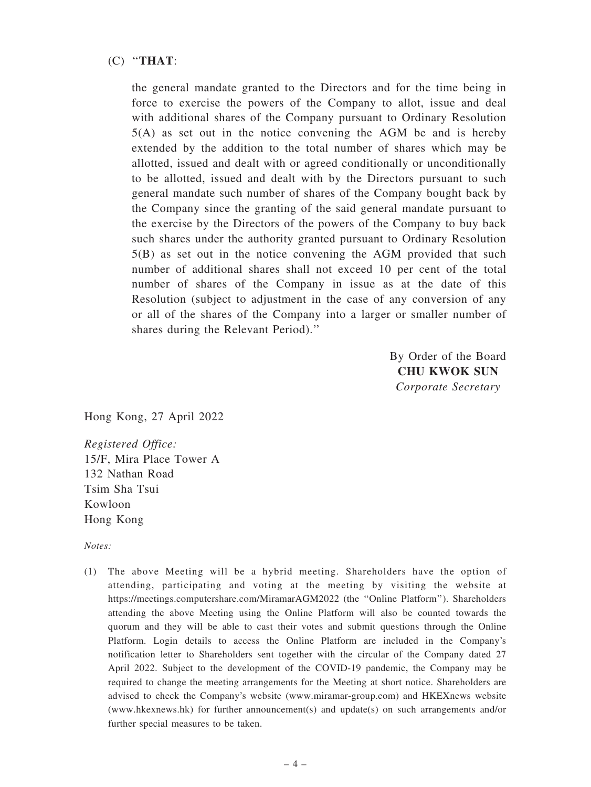#### (C) ''THAT:

the general mandate granted to the Directors and for the time being in force to exercise the powers of the Company to allot, issue and deal with additional shares of the Company pursuant to Ordinary Resolution 5(A) as set out in the notice convening the AGM be and is hereby extended by the addition to the total number of shares which may be allotted, issued and dealt with or agreed conditionally or unconditionally to be allotted, issued and dealt with by the Directors pursuant to such general mandate such number of shares of the Company bought back by the Company since the granting of the said general mandate pursuant to the exercise by the Directors of the powers of the Company to buy back such shares under the authority granted pursuant to Ordinary Resolution 5(B) as set out in the notice convening the AGM provided that such number of additional shares shall not exceed 10 per cent of the total number of shares of the Company in issue as at the date of this Resolution (subject to adjustment in the case of any conversion of any or all of the shares of the Company into a larger or smaller number of shares during the Relevant Period).''

> By Order of the Board CHU KWOK SUN Corporate Secretary

Hong Kong, 27 April 2022

Registered Office: 15/F, Mira Place Tower A 132 Nathan Road Tsim Sha Tsui Kowloon Hong Kong

Notes:

(1) The above Meeting will be a hybrid meeting. Shareholders have the option of attending, participating and voting at the meeting by visiting the website at https://meetings.computershare.com/MiramarAGM2022 (the ''Online Platform''). Shareholders attending the above Meeting using the Online Platform will also be counted towards the quorum and they will be able to cast their votes and submit questions through the Online Platform. Login details to access the Online Platform are included in the Company's notification letter to Shareholders sent together with the circular of the Company dated 27 April 2022. Subject to the development of the COVID-19 pandemic, the Company may be required to change the meeting arrangements for the Meeting at short notice. Shareholders are advised to check the Company's website (www.miramar-group.com) and HKEXnews website (www.hkexnews.hk) for further announcement(s) and update(s) on such arrangements and/or further special measures to be taken.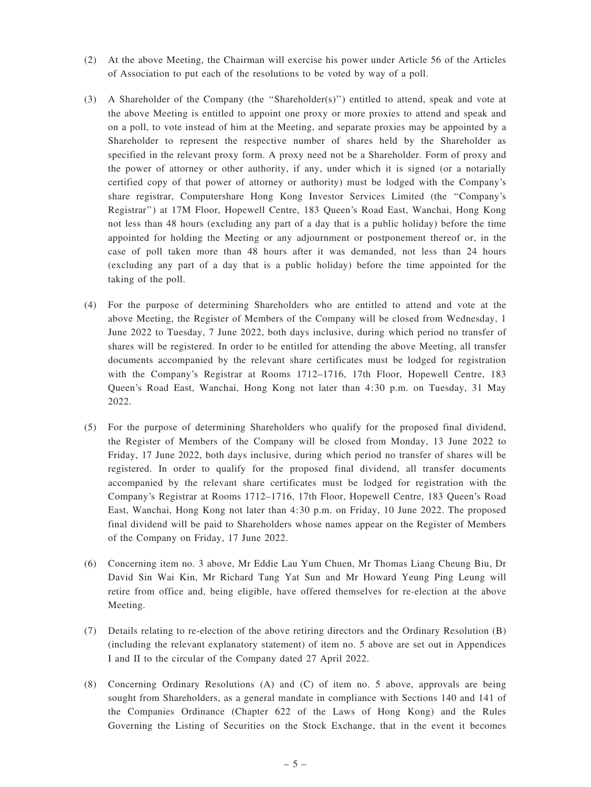- (2) At the above Meeting, the Chairman will exercise his power under Article 56 of the Articles of Association to put each of the resolutions to be voted by way of a poll.
- (3) A Shareholder of the Company (the ''Shareholder(s)'') entitled to attend, speak and vote at the above Meeting is entitled to appoint one proxy or more proxies to attend and speak and on a poll, to vote instead of him at the Meeting, and separate proxies may be appointed by a Shareholder to represent the respective number of shares held by the Shareholder as specified in the relevant proxy form. A proxy need not be a Shareholder. Form of proxy and the power of attorney or other authority, if any, under which it is signed (or a notarially certified copy of that power of attorney or authority) must be lodged with the Company's share registrar, Computershare Hong Kong Investor Services Limited (the ''Company's Registrar'') at 17M Floor, Hopewell Centre, 183 Queen's Road East, Wanchai, Hong Kong not less than 48 hours (excluding any part of a day that is a public holiday) before the time appointed for holding the Meeting or any adjournment or postponement thereof or, in the case of poll taken more than 48 hours after it was demanded, not less than 24 hours (excluding any part of a day that is a public holiday) before the time appointed for the taking of the poll.
- (4) For the purpose of determining Shareholders who are entitled to attend and vote at the above Meeting, the Register of Members of the Company will be closed from Wednesday, 1 June 2022 to Tuesday, 7 June 2022, both days inclusive, during which period no transfer of shares will be registered. In order to be entitled for attending the above Meeting, all transfer documents accompanied by the relevant share certificates must be lodged for registration with the Company's Registrar at Rooms 1712–1716, 17th Floor, Hopewell Centre, 183 Queen's Road East, Wanchai, Hong Kong not later than 4:30 p.m. on Tuesday, 31 May 2022.
- (5) For the purpose of determining Shareholders who qualify for the proposed final dividend, the Register of Members of the Company will be closed from Monday, 13 June 2022 to Friday, 17 June 2022, both days inclusive, during which period no transfer of shares will be registered. In order to qualify for the proposed final dividend, all transfer documents accompanied by the relevant share certificates must be lodged for registration with the Company's Registrar at Rooms 1712–1716, 17th Floor, Hopewell Centre, 183 Queen's Road East, Wanchai, Hong Kong not later than 4:30 p.m. on Friday, 10 June 2022. The proposed final dividend will be paid to Shareholders whose names appear on the Register of Members of the Company on Friday, 17 June 2022.
- (6) Concerning item no. 3 above, Mr Eddie Lau Yum Chuen, Mr Thomas Liang Cheung Biu, Dr David Sin Wai Kin, Mr Richard Tang Yat Sun and Mr Howard Yeung Ping Leung will retire from office and, being eligible, have offered themselves for re-election at the above Meeting.
- (7) Details relating to re-election of the above retiring directors and the Ordinary Resolution (B) (including the relevant explanatory statement) of item no. 5 above are set out in Appendices I and II to the circular of the Company dated 27 April 2022.
- (8) Concerning Ordinary Resolutions (A) and (C) of item no. 5 above, approvals are being sought from Shareholders, as a general mandate in compliance with Sections 140 and 141 of the Companies Ordinance (Chapter 622 of the Laws of Hong Kong) and the Rules Governing the Listing of Securities on the Stock Exchange, that in the event it becomes